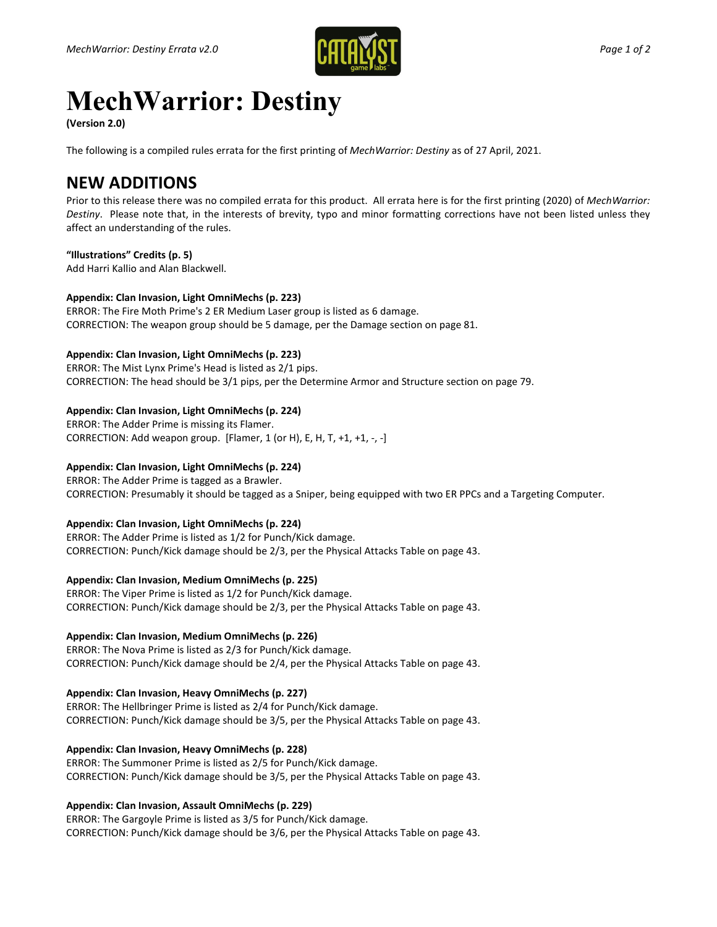

# **MechWarrior: Destiny**

**(Version 2.0)**

The following is a compiled rules errata for the first printing of *MechWarrior: Destiny* as of 27 April, 2021.

# **NEW ADDITIONS**

Prior to this release there was no compiled errata for this product. All errata here is for the first printing (2020) of *MechWarrior: Destiny*. Please note that, in the interests of brevity, typo and minor formatting corrections have not been listed unless they affect an understanding of the rules.

#### **"Illustrations" Credits (p. 5)**

Add Harri Kallio and Alan Blackwell.

#### **Appendix: Clan Invasion, Light OmniMechs (p. 223)**

ERROR: The Fire Moth Prime's 2 ER Medium Laser group is listed as 6 damage. CORRECTION: The weapon group should be 5 damage, per the Damage section on page 81.

## **Appendix: Clan Invasion, Light OmniMechs (p. 223)**

ERROR: The Mist Lynx Prime's Head is listed as 2/1 pips. CORRECTION: The head should be 3/1 pips, per the Determine Armor and Structure section on page 79.

#### **Appendix: Clan Invasion, Light OmniMechs (p. 224)**

ERROR: The Adder Prime is missing its Flamer. CORRECTION: Add weapon group. [Flamer, 1 (or H), E, H, T, +1, +1, -, -]

## **Appendix: Clan Invasion, Light OmniMechs (p. 224)**

ERROR: The Adder Prime is tagged as a Brawler. CORRECTION: Presumably it should be tagged as a Sniper, being equipped with two ER PPCs and a Targeting Computer.

# **Appendix: Clan Invasion, Light OmniMechs (p. 224)**

ERROR: The Adder Prime is listed as 1/2 for Punch/Kick damage. CORRECTION: Punch/Kick damage should be 2/3, per the Physical Attacks Table on page 43.

**Appendix: Clan Invasion, Medium OmniMechs (p. 225)**

ERROR: The Viper Prime is listed as 1/2 for Punch/Kick damage. CORRECTION: Punch/Kick damage should be 2/3, per the Physical Attacks Table on page 43.

## **Appendix: Clan Invasion, Medium OmniMechs (p. 226)**

ERROR: The Nova Prime is listed as 2/3 for Punch/Kick damage. CORRECTION: Punch/Kick damage should be 2/4, per the Physical Attacks Table on page 43.

## **Appendix: Clan Invasion, Heavy OmniMechs (p. 227)**

ERROR: The Hellbringer Prime is listed as 2/4 for Punch/Kick damage. CORRECTION: Punch/Kick damage should be 3/5, per the Physical Attacks Table on page 43.

## **Appendix: Clan Invasion, Heavy OmniMechs (p. 228)**

ERROR: The Summoner Prime is listed as 2/5 for Punch/Kick damage. CORRECTION: Punch/Kick damage should be 3/5, per the Physical Attacks Table on page 43.

## **Appendix: Clan Invasion, Assault OmniMechs (p. 229)**

ERROR: The Gargoyle Prime is listed as 3/5 for Punch/Kick damage. CORRECTION: Punch/Kick damage should be 3/6, per the Physical Attacks Table on page 43.